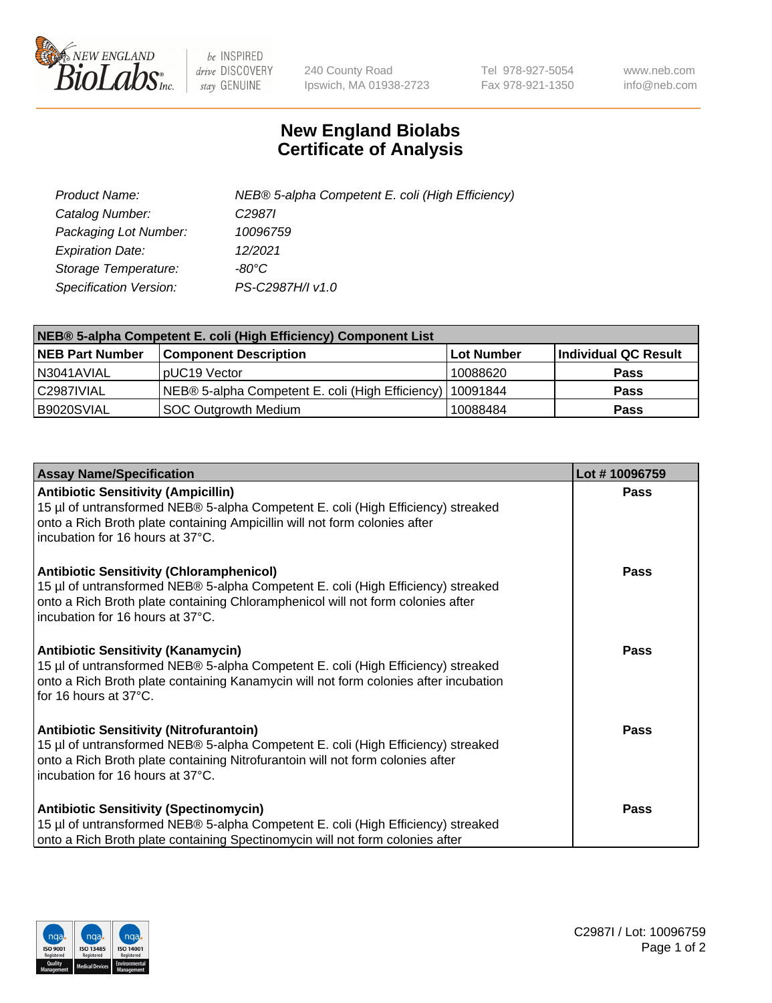

 $be$  INSPIRED drive DISCOVERY stay GENUINE

240 County Road Ipswich, MA 01938-2723 Tel 978-927-5054 Fax 978-921-1350 www.neb.com info@neb.com

## **New England Biolabs Certificate of Analysis**

| Product Name:           | NEB® 5-alpha Competent E. coli (High Efficiency) |
|-------------------------|--------------------------------------------------|
| Catalog Number:         | C <sub>2987</sub>                                |
| Packaging Lot Number:   | 10096759                                         |
| <b>Expiration Date:</b> | 12/2021                                          |
| Storage Temperature:    | -80°C                                            |
| Specification Version:  | PS-C2987H/I v1.0                                 |

| NEB® 5-alpha Competent E. coli (High Efficiency) Component List |                                                  |            |                      |  |
|-----------------------------------------------------------------|--------------------------------------------------|------------|----------------------|--|
| <b>NEB Part Number</b>                                          | <b>Component Description</b>                     | Lot Number | Individual QC Result |  |
| N3041AVIAL                                                      | pUC19 Vector                                     | 10088620   | <b>Pass</b>          |  |
| C2987IVIAL                                                      | NEB® 5-alpha Competent E. coli (High Efficiency) | 10091844   | <b>Pass</b>          |  |
| B9020SVIAL                                                      | <b>SOC Outgrowth Medium</b>                      | 10088484   | <b>Pass</b>          |  |

| <b>Assay Name/Specification</b>                                                                                                                                                                                                                            | Lot #10096759 |
|------------------------------------------------------------------------------------------------------------------------------------------------------------------------------------------------------------------------------------------------------------|---------------|
| <b>Antibiotic Sensitivity (Ampicillin)</b><br>15 µl of untransformed NEB® 5-alpha Competent E. coli (High Efficiency) streaked<br>onto a Rich Broth plate containing Ampicillin will not form colonies after<br>incubation for 16 hours at 37°C.           | <b>Pass</b>   |
| <b>Antibiotic Sensitivity (Chloramphenicol)</b><br>15 µl of untransformed NEB® 5-alpha Competent E. coli (High Efficiency) streaked<br>onto a Rich Broth plate containing Chloramphenicol will not form colonies after<br>incubation for 16 hours at 37°C. | <b>Pass</b>   |
| <b>Antibiotic Sensitivity (Kanamycin)</b><br>15 µl of untransformed NEB® 5-alpha Competent E. coli (High Efficiency) streaked<br>onto a Rich Broth plate containing Kanamycin will not form colonies after incubation<br>for 16 hours at 37°C.             | Pass          |
| <b>Antibiotic Sensitivity (Nitrofurantoin)</b><br>15 µl of untransformed NEB® 5-alpha Competent E. coli (High Efficiency) streaked<br>onto a Rich Broth plate containing Nitrofurantoin will not form colonies after<br>incubation for 16 hours at 37°C.   | Pass          |
| <b>Antibiotic Sensitivity (Spectinomycin)</b><br>15 µl of untransformed NEB® 5-alpha Competent E. coli (High Efficiency) streaked<br>onto a Rich Broth plate containing Spectinomycin will not form colonies after                                         | Pass          |